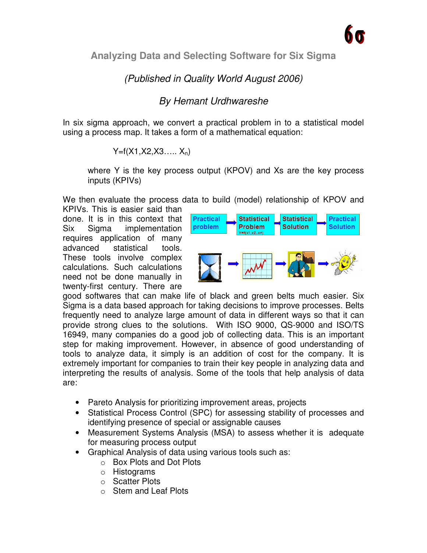**Analyzing Data and Selecting Software for Six Sigma**

# (Published in Quality World August 2006)

## By Hemant Urdhwareshe

In six sigma approach, we convert a practical problem in to a statistical model using a process map. It takes a form of a mathematical equation:

$$
Y=f(X1, X2, X3, \dots, X_n)
$$

where Y is the key process output (KPOV) and Xs are the key process inputs (KPIVs)

We then evaluate the process data to build (model) relationship of KPOV and

KPIVs. This is easier said than done. It is in this context that Six Sigma implementation requires application of many advanced statistical tools. These tools involve complex calculations. Such calculations need not be done manually in twenty-first century. There are



good softwares that can make life of black and green belts much easier. Six Sigma is a data based approach for taking decisions to improve processes. Belts frequently need to analyze large amount of data in different ways so that it can provide strong clues to the solutions. With ISO 9000, QS-9000 and ISO/TS 16949, many companies do a good job of collecting data. This is an important step for making improvement. However, in absence of good understanding of tools to analyze data, it simply is an addition of cost for the company. It is extremely important for companies to train their key people in analyzing data and interpreting the results of analysis. Some of the tools that help analysis of data are:

- Pareto Analysis for prioritizing improvement areas, projects
- Statistical Process Control (SPC) for assessing stability of processes and identifying presence of special or assignable causes
- Measurement Systems Analysis (MSA) to assess whether it is adequate for measuring process output
- Graphical Analysis of data using various tools such as:
	- o Box Plots and Dot Plots
	- o Histograms
	- o Scatter Plots
	- o Stem and Leaf Plots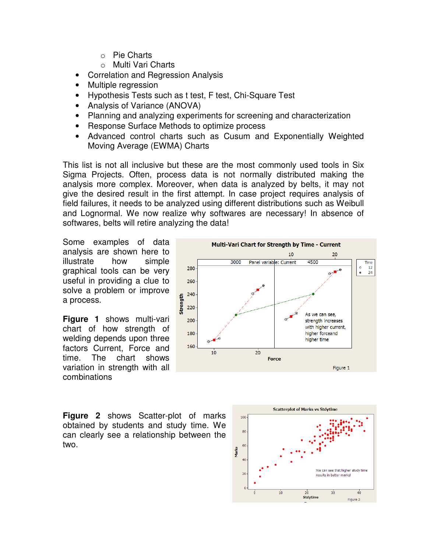- o Pie Charts
- o Multi Vari Charts
- Correlation and Regression Analysis
- Multiple regression
- Hypothesis Tests such as t test, F test, Chi-Square Test
- Analysis of Variance (ANOVA)
- Planning and analyzing experiments for screening and characterization
- Response Surface Methods to optimize process
- Advanced control charts such as Cusum and Exponentially Weighted Moving Average (EWMA) Charts

This list is not all inclusive but these are the most commonly used tools in Six Sigma Projects. Often, process data is not normally distributed making the analysis more complex. Moreover, when data is analyzed by belts, it may not give the desired result in the first attempt. In case project requires analysis of field failures, it needs to be analyzed using different distributions such as Weibull and Lognormal. We now realize why softwares are necessary! In absence of softwares, belts will retire analyzing the data!

Some examples of data analysis are shown here to illustrate how simple graphical tools can be very useful in providing a clue to solve a problem or improve a process.

**Figure 1** shows multi-vari chart of how strength of welding depends upon three factors Current, Force and time. The chart shows variation in strength with all combinations



**Figure 2** shows Scatter-plot of marks obtained by students and study time. We can clearly see a relationship between the two.

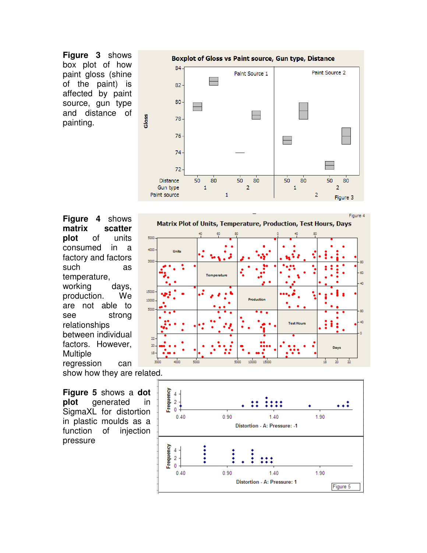**Figure 3** shows box plot of how paint gloss (shine of the paint) is affected by paint source, gun type and distance of painting.



**Figure 4** shows **matrix scatter plot** of units consumed in a factory and factors such as temperature, working days, production. We are not able to see strong relationships between individual factors. However, Multiple regression can show how they are related.



**Figure 5** shows a **dot plot** generated in SigmaXL for distortion in plastic moulds as a function of injection pressure

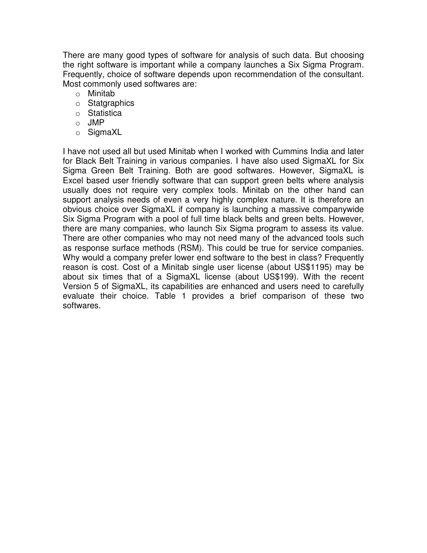There are many good types of software for analysis of such data. But choosing the right software is important while a company launches a Six Sigma Program. Frequently, choice of software depends upon recommendation of the consultant. Most commonly used softwares are:

- o Minitab
- o Statgraphics
- o Statistica
- o JMP
- o SigmaXL

I have not used all but used Minitab when I worked with Cummins India and later for Black Belt Training in various companies. I have also used SigmaXL for Six Sigma Green Belt Training. Both are good softwares. However, SigmaXL is Excel based user friendly software that can support green belts where analysis usually does not require very complex tools. Minitab on the other hand can support analysis needs of even a very highly complex nature. It is therefore an obvious choice over SigmaXL if company is launching a massive companywide Six Sigma Program with a pool of full time black belts and green belts. However, there are many companies, who launch Six Sigma program to assess its value. There are other companies who may not need many of the advanced tools such as response surface methods (RSM). This could be true for service companies. Why would a company prefer lower end software to the best in class? Frequently reason is cost. Cost of a Minitab single user license (about US\$1195) may be about six times that of a SigmaXL license (about US\$199). With the recent Version 5 of SigmaXL, its capabilities are enhanced and users need to carefully evaluate their choice. Table 1 provides a brief comparison of these two softwares.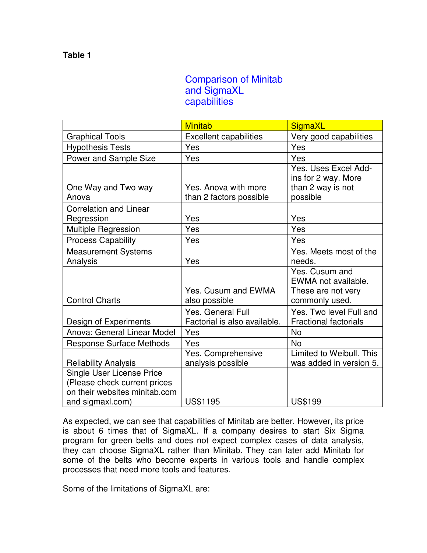## Comparison of Minitab and SigmaXL capabilities

|                                                                                                                       | <b>Minitab</b>                                           | SigmaXL                                                                       |
|-----------------------------------------------------------------------------------------------------------------------|----------------------------------------------------------|-------------------------------------------------------------------------------|
| <b>Graphical Tools</b>                                                                                                | <b>Excellent capabilities</b>                            | Very good capabilities                                                        |
| <b>Hypothesis Tests</b>                                                                                               | Yes                                                      | Yes                                                                           |
| Power and Sample Size                                                                                                 | Yes                                                      | Yes                                                                           |
| One Way and Two way<br>Anova                                                                                          | Yes. Anova with more<br>than 2 factors possible          | Yes. Uses Excel Add-<br>ins for 2 way. More<br>than 2 way is not<br>possible  |
| <b>Correlation and Linear</b><br>Regression                                                                           | Yes                                                      | Yes                                                                           |
| Multiple Regression                                                                                                   | Yes                                                      | Yes                                                                           |
| <b>Process Capability</b>                                                                                             | Yes                                                      | Yes                                                                           |
| <b>Measurement Systems</b><br>Analysis                                                                                | Yes                                                      | Yes. Meets most of the<br>needs.                                              |
| <b>Control Charts</b>                                                                                                 | Yes. Cusum and EWMA<br>also possible                     | Yes. Cusum and<br>EWMA not available.<br>These are not very<br>commonly used. |
| Design of Experiments                                                                                                 | <b>Yes. General Full</b><br>Factorial is also available. | Yes. Two level Full and<br><b>Fractional factorials</b>                       |
| Anova: General Linear Model                                                                                           | Yes                                                      | <b>No</b>                                                                     |
| <b>Response Surface Methods</b>                                                                                       | Yes                                                      | <b>No</b>                                                                     |
| <b>Reliability Analysis</b>                                                                                           | Yes. Comprehensive<br>analysis possible                  | Limited to Weibull. This<br>was added in version 5.                           |
| <b>Single User License Price</b><br>(Please check current prices<br>on their websites minitab.com<br>and sigmaxl.com) | <b>US\$1195</b>                                          | <b>US\$199</b>                                                                |

As expected, we can see that capabilities of Minitab are better. However, its price is about 6 times that of SigmaXL. If a company desires to start Six Sigma program for green belts and does not expect complex cases of data analysis, they can choose SigmaXL rather than Minitab. They can later add Minitab for some of the belts who become experts in various tools and handle complex processes that need more tools and features.

Some of the limitations of SigmaXL are: